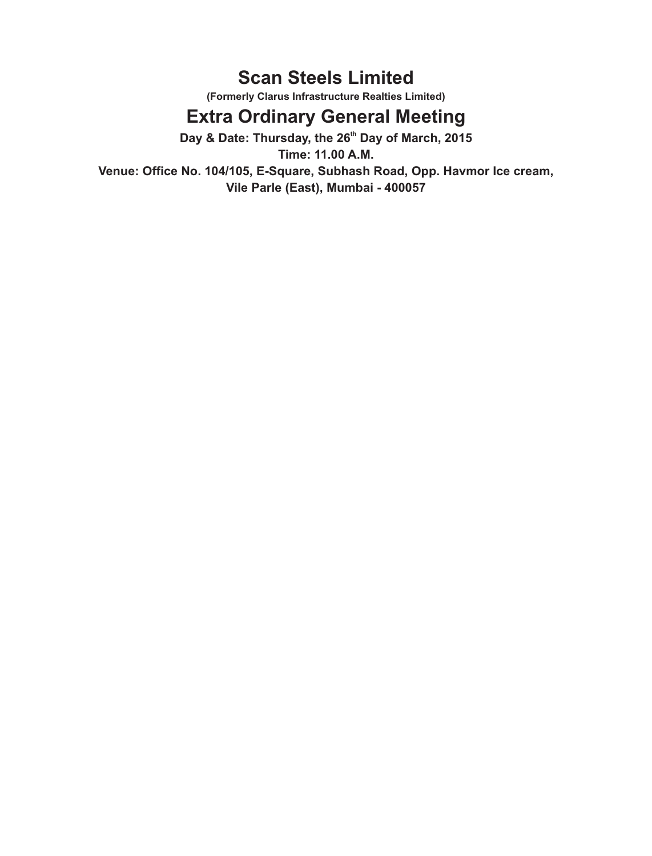# **Scan Steels Limited**

**(Formerly Clarus Infrastructure Realties Limited)** 

# **Extra Ordinary General Meeting**

Day & Date: Thursday, the 26<sup>th</sup> Day of March, 2015

**Time: 11.00 A.M. Venue: Office No. 104/105, E-Square, Subhash Road, Opp. Havmor Ice cream, Vile Parle (East), Mumbai - 400057**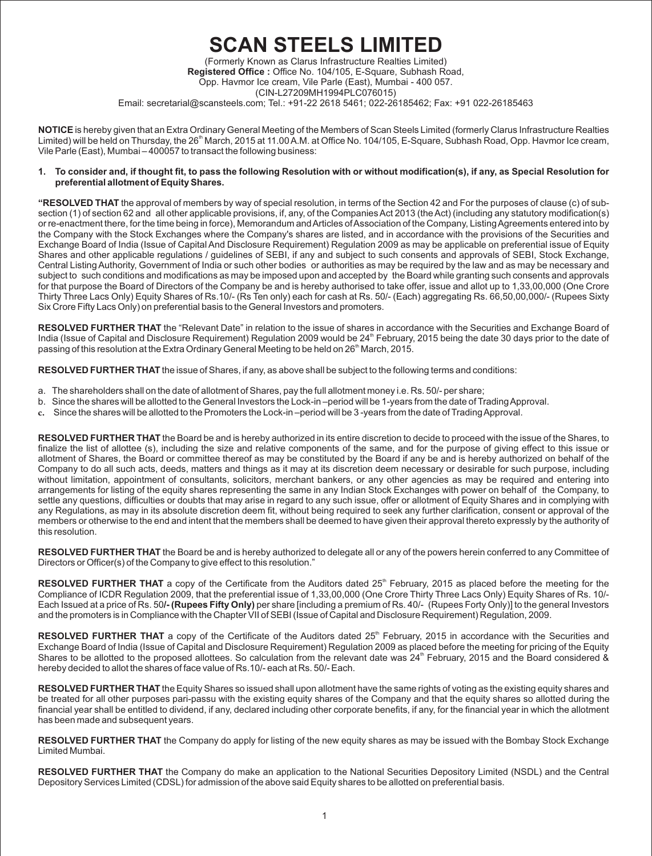# **SCAN STEELS LIMITED**

(Formerly Known as Clarus Infrastructure Realties Limited) **Registered Office :** Office No. 104/105, E-Square, Subhash Road, Opp. Havmor Ice cream, Vile Parle (East), Mumbai - 400 057. (CIN-L27209MH1994PLC076015) Email: secretarial@scansteels.com; Tel.: +91-22 2618 5461; 022-26185462; Fax: +91 022-26185463

**NOTICE** is hereby given that an Extra Ordinary General Meeting of the Members of Scan Steels Limited (formerly Clarus Infrastructure Realties Limited) will be held on Thursday, the 26<sup>th</sup> March, 2015 at 11.00 A.M. at Office No. 104/105, E-Square, Subhash Road, Opp. Havmor Ice cream, Vile Parle (East), Mumbai – 400057 to transact the following business:

#### **1. To consider and, if thought fit, to pass the following Resolution with or without modification(s), if any, as Special Resolution for preferential allotment of Equity Shares.**

**"RESOLVED THAT** the approval of members by way of special resolution, in terms of the Section 42 and For the purposes of clause (c) of subsection (1) of section 62 and all other applicable provisions, if, any, of the Companies Act 2013 (the Act) (including any statutory modification(s) or re-enactment there, for the time being in force), Memorandum and Articles of Association of the Company, Listing Agreements entered into by the Company with the Stock Exchanges where the Company's shares are listed, and in accordance with the provisions of the Securities and Exchange Board of India (Issue of Capital And Disclosure Requirement) Regulation 2009 as may be applicable on preferential issue of Equity Shares and other applicable regulations / guidelines of SEBI, if any and subject to such consents and approvals of SEBI, Stock Exchange, Central Listing Authority, Government of India or such other bodies or authorities as may be required by the law and as may be necessary and subject to such conditions and modifications as may be imposed upon and accepted by the Board while granting such consents and approvals for that purpose the Board of Directors of the Company be and is hereby authorised to take offer, issue and allot up to 1,33,00,000 (One Crore Thirty Three Lacs Only) Equity Shares of Rs.10/- (Rs Ten only) each for cash at Rs. 50/- (Each) aggregating Rs. 66,50,00,000/- (Rupees Sixty Six Crore Fifty Lacs Only) on preferential basis to the General Investors and promoters.

**RESOLVED FURTHER THAT** the "Relevant Date" in relation to the issue of shares in accordance with the Securities and Exchange Board of India (Issue of Capital and Disclosure Requirement) Regulation 2009 would be 24<sup>th</sup> February, 2015 being the date 30 days prior to the date of passing of this resolution at the Extra Ordinary General Meeting to be held on 26<sup>th</sup> March, 2015.

**RESOLVED FURTHER THAT** the issue of Shares, if any, as above shall be subject to the following terms and conditions:

- a. The shareholders shall on the date of allotment of Shares, pay the full allotment money i.e. Rs. 50/- per share;
- b. Since the shares will be allotted to the General Investors the Lock-in –period will be 1-years from the date of Trading Approval.
- **c.** Since the shares will be allotted to the Promoters the Lock-in –period will be 3 -years from the date of Trading Approval.

**RESOLVED FURTHER THAT** the Board be and is hereby authorized in its entire discretion to decide to proceed with the issue of the Shares, to finalize the list of allottee (s), including the size and relative components of the same, and for the purpose of giving effect to this issue or allotment of Shares, the Board or committee thereof as may be constituted by the Board if any be and is hereby authorized on behalf of the Company to do all such acts, deeds, matters and things as it may at its discretion deem necessary or desirable for such purpose, including without limitation, appointment of consultants, solicitors, merchant bankers, or any other agencies as may be required and entering into arrangements for listing of the equity shares representing the same in any Indian Stock Exchanges with power on behalf of the Company, to settle any questions, difficulties or doubts that may arise in regard to any such issue, offer or allotment of Equity Shares and in complying with any Regulations, as may in its absolute discretion deem fit, without being required to seek any further clarification, consent or approval of the members or otherwise to the end and intent that the members shall be deemed to have given their approval thereto expressly by the authority of this resolution.

**RESOLVED FURTHER THAT** the Board be and is hereby authorized to delegate all or any of the powers herein conferred to any Committee of Directors or Officer(s) of the Company to give effect to this resolution."

**RESOLVED FURTHER THAT** a copy of the Certificate from the Auditors dated 25<sup>th</sup> February, 2015 as placed before the meeting for the Compliance of ICDR Regulation 2009, that the preferential issue of 1,33,00,000 (One Crore Thirty Three Lacs Only) Equity Shares of Rs. 10/- Each Issued at a price of Rs. 50**/- (Rupees Fifty Only)** per share [including a premium of Rs. 40/- (Rupees Forty Only)] to the general Investors and the promoters is in Compliance with the Chapter VII of SEBI (Issue of Capital and Disclosure Requirement) Regulation, 2009.

**RESOLVED FURTHER THAT** a copy of the Certificate of the Auditors dated 25<sup>th</sup> February, 2015 in accordance with the Securities and Exchange Board of India (Issue of Capital and Disclosure Requirement) Regulation 2009 as placed before the meeting for pricing of the Equity Shares to be allotted to the proposed allottees. So calculation from the relevant date was 24<sup>th</sup> February, 2015 and the Board considered & hereby decided to allot the shares of face value of Rs.10/- each at Rs. 50/- Each.

**RESOLVED FURTHER THAT** the Equity Shares so issued shall upon allotment have the same rights of voting as the existing equity shares and be treated for all other purposes pari-passu with the existing equity shares of the Company and that the equity shares so allotted during the financial year shall be entitled to dividend, if any, declared including other corporate benefits, if any, for the financial year in which the allotment has been made and subsequent years.

**RESOLVED FURTHER THAT** the Company do apply for listing of the new equity shares as may be issued with the Bombay Stock Exchange Limited Mumbai.

**RESOLVED FURTHER THAT** the Company do make an application to the National Securities Depository Limited (NSDL) and the Central Depository Services Limited (CDSL) for admission of the above said Equity shares to be allotted on preferential basis.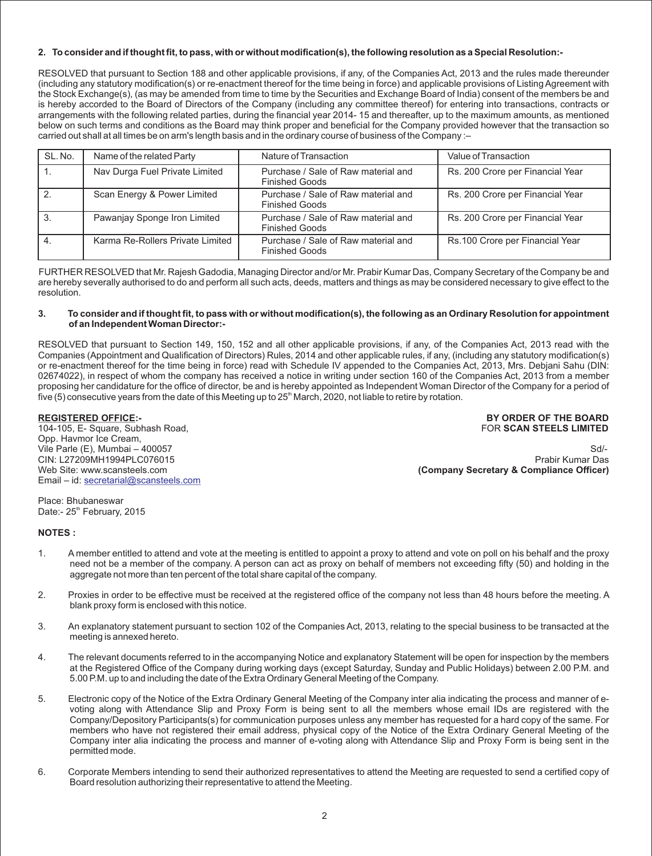#### **2. To consider and if thought fit, to pass, with or without modification(s), the following resolution as a Special Resolution:-**

RESOLVED that pursuant to Section 188 and other applicable provisions, if any, of the Companies Act, 2013 and the rules made thereunder (including any statutory modification(s) or re-enactment thereof for the time being in force) and applicable provisions of Listing Agreement with the Stock Exchange(s), (as may be amended from time to time by the Securities and Exchange Board of India) consent of the members be and is hereby accorded to the Board of Directors of the Company (including any committee thereof) for entering into transactions, contracts or arrangements with the following related parties, during the financial year 2014- 15 and thereafter, up to the maximum amounts, as mentioned below on such terms and conditions as the Board may think proper and beneficial for the Company provided however that the transaction so carried out shall at all times be on arm's length basis and in the ordinary course of business of the Company :–

| SL. No. | Name of the related Party        | Nature of Transaction                                        | Value of Transaction             |
|---------|----------------------------------|--------------------------------------------------------------|----------------------------------|
|         | Nav Durga Fuel Private Limited   | Purchase / Sale of Raw material and<br><b>Finished Goods</b> | Rs. 200 Crore per Financial Year |
|         | Scan Energy & Power Limited      | Purchase / Sale of Raw material and<br><b>Finished Goods</b> | Rs. 200 Crore per Financial Year |
| -3.     | Pawanjay Sponge Iron Limited     | Purchase / Sale of Raw material and<br><b>Finished Goods</b> | Rs. 200 Crore per Financial Year |
| -4.     | Karma Re-Rollers Private Limited | Purchase / Sale of Raw material and<br><b>Finished Goods</b> | Rs.100 Crore per Financial Year  |

FURTHER RESOLVED that Mr. Rajesh Gadodia, Managing Director and/or Mr. Prabir Kumar Das, Company Secretary of the Company be and are hereby severally authorised to do and perform all such acts, deeds, matters and things as may be considered necessary to give effect to the resolution.

#### **3. To consider and if thought fit, to pass with or without modification(s), the following as an Ordinary Resolution for appointment of an Independent Woman Director:-**

RESOLVED that pursuant to Section 149, 150, 152 and all other applicable provisions, if any, of the Companies Act, 2013 read with the Companies (Appointment and Qualification of Directors) Rules, 2014 and other applicable rules, if any, (including any statutory modification(s) or re-enactment thereof for the time being in force) read with Schedule IV appended to the Companies Act, 2013, Mrs. Debjani Sahu (DIN: 02674022), in respect of whom the company has received a notice in writing under section 160 of the Companies Act, 2013 from a member proposing her candidature for the office of director, be and is hereby appointed as Independent Woman Director of the Company for a period of five (5) consecutive years from the date of this Meeting up to  $25<sup>th</sup>$  March, 2020, not liable to retire by rotation.

104-105, E- Square, Subhash Road, FOR **SCAN STEELS LIMITED** Opp. Havmor Ice Cream, CIN: L27209MH1994PLC076015 Email – id: [secretarial@scansteels.com](mailto:secretarial@scansteels.com)

**REGISTERED OFFICE:- BY ORDER OF THE BOARD**

Vile Parle (E), Mumbai – 400057 Sd/-<br>CIN: L27209MH1994PLC076015 Sd/- Strategy of Strategy and Strategy and Strategy and Strategy and Strategy and S<br>Prabir Kumar Das Web Site: www.scansteels.com **(Company Secretary & Compliance Officer) (Company Secretary & Compliance Officer)** 

Place: Bhubaneswar Date:- 25<sup>th</sup> February, 2015

#### **NOTES :**

- 1. A member entitled to attend and vote at the meeting is entitled to appoint a proxy to attend and vote on poll on his behalf and the proxy need not be a member of the company. A person can act as proxy on behalf of members not exceeding fifty (50) and holding in the aggregate not more than ten percent of the total share capital of the company.
- 2. Proxies in order to be effective must be received at the registered office of the company not less than 48 hours before the meeting. A blank proxy form is enclosed with this notice.
- 3. An explanatory statement pursuant to section 102 of the Companies Act, 2013, relating to the special business to be transacted at the meeting is annexed hereto.
- 4. The relevant documents referred to in the accompanying Notice and explanatory Statement will be open for inspection by the members at the Registered Office of the Company during working days (except Saturday, Sunday and Public Holidays) between 2.00 P.M. and 5.00 P.M. up to and including the date of the Extra Ordinary General Meeting of the Company.
- 5. Electronic copy of the Notice of the Extra Ordinary General Meeting of the Company inter alia indicating the process and manner of evoting along with Attendance Slip and Proxy Form is being sent to all the members whose email IDs are registered with the Company/Depository Participants(s) for communication purposes unless any member has requested for a hard copy of the same. For members who have not registered their email address, physical copy of the Notice of the Extra Ordinary General Meeting of the Company inter alia indicating the process and manner of e-voting along with Attendance Slip and Proxy Form is being sent in the permitted mode.
- 6. Corporate Members intending to send their authorized representatives to attend the Meeting are requested to send a certified copy of Board resolution authorizing their representative to attend the Meeting.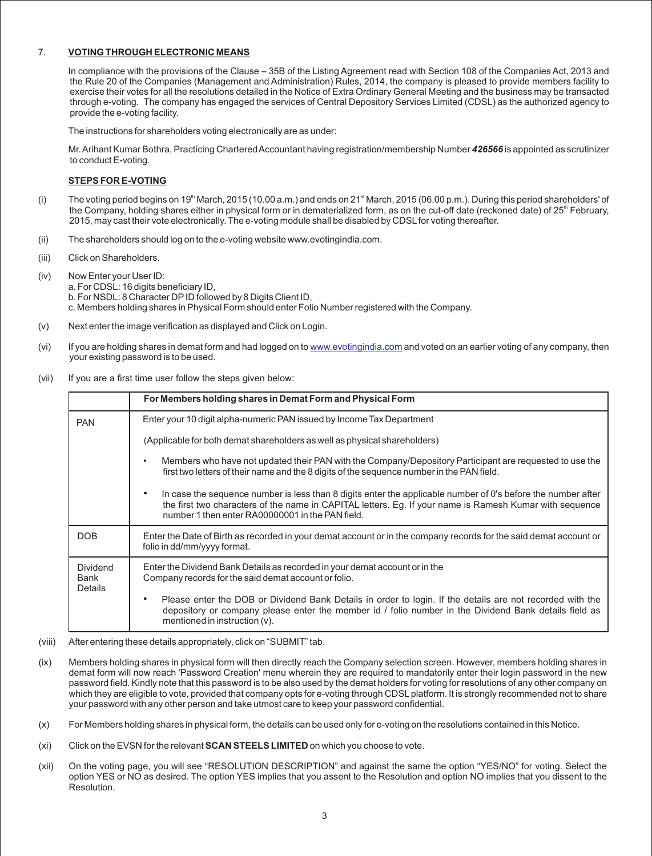### 7. **VOTING THROUGH ELECTRONIC MEANS**

In compliance with the provisions of the Clause – 35B of the Listing Agreement read with Section 108 of the Companies Act, 2013 and the Rule 20 of the Companies (Management and Administration) Rules, 2014, the company is pleased to provide members facility to exercise their votes for all the resolutions detailed in the Notice of Extra Ordinary General Meeting and the business may be transacted through e-voting. The company has engaged the services of Central Depository Services Limited (CDSL) as the authorized agency to provide the e-voting facility.

The instructions for shareholders voting electronically are as under:

Mr. Arihant Kumar Bothra, Practicing Chartered Accountant having registration/membership Number **426566** is appointed as scrutinizer to conduct E-voting.

#### **STEPS FOR E-VOTING**

- (i) The voting period begins on 19<sup>th</sup> March, 2015 (10.00 a.m.) and ends on 21<sup>st</sup> March, 2015 (06.00 p.m.). During this period shareholders' of the Company, holding shares either in physical form or in dematerialized form, as on the cut-off date (reckoned date) of  $25<sup>th</sup>$  February, 2015, may cast their vote electronically. The e-voting module shall be disabled by CDSL for voting thereafter.
- (ii) The shareholders should log on to the e-voting website www.evotingindia.com.
- (iii) Click on Shareholders.
- (iv) Now Enter your User ID:
	- a. For CDSL: 16 digits beneficiary ID,
		- b. For NSDL: 8 Character DPID followed by 8 Digits Client ID,

c. Members holding shares in Physical Form should enter Folio Number registered with the Company.

- (v) Next enter the image verification as displayed and Click on Login.
- (vi)lf you are holding shares in demat form and had logged on to <u>www.evotingindia.com</u> and voted on an earlier voting of any company, then your existing password is to be used.
- (vii) If you are a first time user follow the steps given below:

|                                           | For Members holding shares in Demat Form and Physical Form                                                                                                                                                                                                                       |
|-------------------------------------------|----------------------------------------------------------------------------------------------------------------------------------------------------------------------------------------------------------------------------------------------------------------------------------|
| <b>PAN</b>                                | Enter your 10 digit alpha-numeric PAN issued by Income Tax Department                                                                                                                                                                                                            |
|                                           | (Applicable for both demat shareholders as well as physical shareholders)                                                                                                                                                                                                        |
|                                           | Members who have not updated their PAN with the Company/Depository Participant are requested to use the<br>$\bullet$<br>first two letters of their name and the 8 digits of the sequence number in the PAN field.                                                                |
|                                           | In case the sequence number is less than 8 digits enter the applicable number of 0's before the number after<br>٠<br>the first two characters of the name in CAPITAL letters. Eg. If your name is Ramesh Kumar with sequence<br>number 1 then enter RA00000001 in the PAN field. |
| <b>DOB</b>                                | Enter the Date of Birth as recorded in your demat account or in the company records for the said demat account or<br>folio in dd/mm/yyyy format.                                                                                                                                 |
| <b>Dividend</b><br>Bank<br><b>Details</b> | Enter the Dividend Bank Details as recorded in your demat account or in the<br>Company records for the said demat account or folio.                                                                                                                                              |
|                                           | Please enter the DOB or Dividend Bank Details in order to login. If the details are not recorded with the<br>٠<br>depository or company please enter the member id / folio number in the Dividend Bank details field as<br>mentioned in instruction $(v)$ .                      |

- (viii) After entering these details appropriately, click on "SUBMIT" tab.
- (ix) Members holding shares in physical form will then directly reach the Company selection screen. However, members holding shares in demat form will now reach 'Password Creation' menu wherein they are required to mandatorily enter their login password in the new password field. Kindly note that this password is to be also used by the demat holders for voting for resolutions of any other company on which they are eligible to vote, provided that company opts for e-voting through CDSL platform. It is strongly recommended not to share your password with any other person and take utmost care to keep your password confidential.
- (x) For Members holding shares in physical form, the details can be used only for e-voting on the resolutions contained in this Notice.
- (xi) Click on the EVSN for the relevant **SCAN STEELS LIMITED** on which you choose to vote.
- (xii) On the voting page, you will see "RESOLUTION DESCRIPTION" and against the same the option "YES/NO" for voting. Select the option YES or NO as desired. The option YES implies that you assent to the Resolution and option NO implies that you dissent to the Resolution.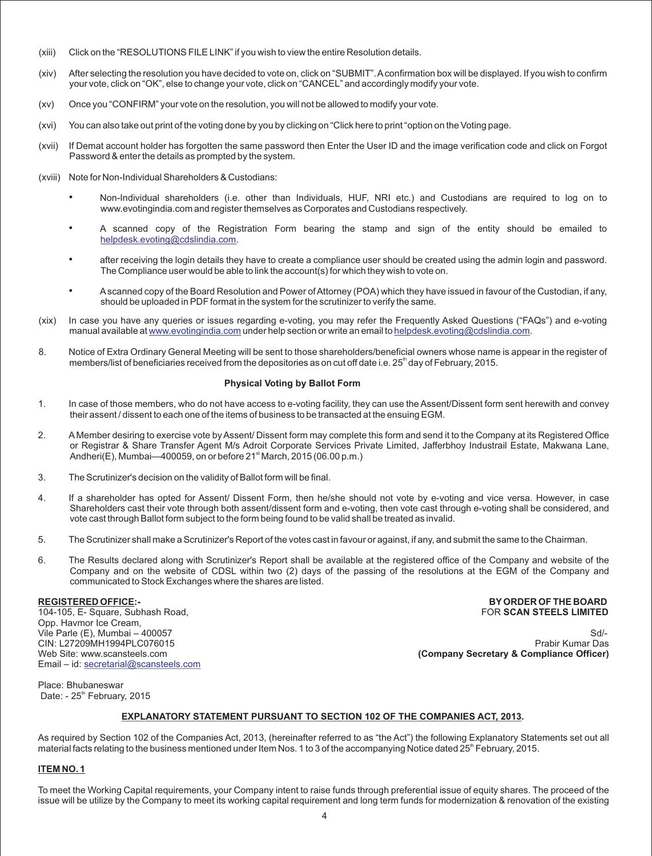- (xiii) Click on the "RESOLUTIONS FILE LINK" if you wish to view the entire Resolution details.
- (xiv) After selecting the resolution you have decided to vote on, click on "SUBMIT". Aconfirmation box will be displayed. If you wish to confirm your vote, click on "OK", else to change your vote, click on "CANCEL" and accordingly modify your vote.
- (xv) Once you "CONFIRM" your vote on the resolution, you will not be allowed to modify your vote.
- (xvi) You can also take out print of the voting done by you by clicking on "Click here to print "option on the Voting page.
- (xvii) If Demat account holder has forgotten the same password then Enter the User ID and the image verification code and click on Forgot Password & enter the details as prompted by the system.
- (xviii) Note for Non-Individual Shareholders & Custodians:
	- Non-Individual shareholders (i.e. other than Individuals, HUF, NRI etc.) and Custodians are required to log on to www.evotingindia.com and register themselves as Corporates and Custodians respectively.
	- A scanned copy of the Registration Form bearing the stamp and sign of the entity should be emailed to [helpdesk.evoting@cdslindia.com](mailto:helpdesk.evoting@cdslindia.com).
	- after receiving the login details they have to create a compliance user should be created using the admin login and password. The Compliance user would be able to link the account(s) for which they wish to vote on.
	- Ascanned copy of the Board Resolution and Power of Attorney (POA) which they have issued in favour of the Custodian, if any, should be uploaded in PDF format in the system for the scrutinizer to verify the same.
- (xix) In case you have any queries or issues regarding e-voting, you may refer the Frequently Asked Questions ("FAQs") and e-voting manualavailable at [www.evotingindia.com](http://www.evotingindia.com) under help section or write an email to helpdesk.evoting@cdslindia.com.
- 8. Notice of Extra Ordinary General Meeting will be sent to those shareholders/beneficial owners whose name is appear in the register of members/list of beneficiaries received from the depositories as on cut off date i.e. 25<sup>th</sup> day of February, 2015.

#### **Physical Voting by Ballot Form**

- 1. In case of those members, who do not have access to e-voting facility, they can use the Assent/Dissent form sent herewith and convey their assent / dissent to each one of the items of business to be transacted at the ensuing EGM.
- 2. A Member desiring to exercise vote by Assent/ Dissent form may complete this form and send it to the Company at its Registered Office or Registrar & Share Transfer Agent M/s Adroit Corporate Services Private Limited, Jafferbhoy Industrail Estate, Makwana Lane, Andheri(E), Mumbai—400059, on or before  $21<sup>st</sup>$  March, 2015 (06.00 p.m.)
- 3. The Scrutinizer's decision on the validity of Ballot form will be final.
- 4. If a shareholder has opted for Assent/ Dissent Form, then he/she should not vote by e-voting and vice versa. However, in case Shareholders cast their vote through both assent/dissent form and e-voting, then vote cast through e-voting shall be considered, and vote cast through Ballot form subject to the form being found to be valid shall be treated as invalid.
- 5. The Scrutinizer shall make a Scrutinizer's Report of the votes cast in favour or against, if any, and submit the same to the Chairman.
- 6. The Results declared along with Scrutinizer's Report shall be available at the registered office of the Company and website of the Company and on the website of CDSL within two (2) days of the passing of the resolutions at the EGM of the Company and communicated to Stock Exchanges where the shares are listed.

104-105, E- Square, Subhash Road, Opp. Havmor Ice Cream, CIN: L27209MH1994PLC076015 Email – id: [secretarial@scansteels.com](mailto:secretarial@scansteels.com)

**REGISTERED OFFICE:- BYORDER OF THE BOARD**

Vile Parle (E), Mumbai – 400057 Sd/-<br>CIN: L27209MH1994PLC076015 Sd/- Strategy of Strategy and Strategy and Strategy and Strategy and Strategy and S Web Site: www.scansteels.com **(Company Secretary & Compliance Officer)** 

Place: Bhubaneswar Date: -  $25<sup>th</sup>$  February, 2015

#### **EXPLANATORY STATEMENT PURSUANT TO SECTION 102 OF THE COMPANIES ACT, 2013.**

As required by Section 102 of the Companies Act, 2013, (hereinafter referred to as "the Act") the following Explanatory Statements set out all material facts relating to the business mentioned under Item Nos. 1 to 3 of the accompanying Notice dated 25<sup>th</sup> February, 2015.

#### **ITEM NO. 1**

To meet the Working Capital requirements, your Company intent to raise funds through preferential issue of equity shares. The proceed of the issue will be utilize by the Company to meet its working capital requirement and long term funds for modernization & renovation of the existing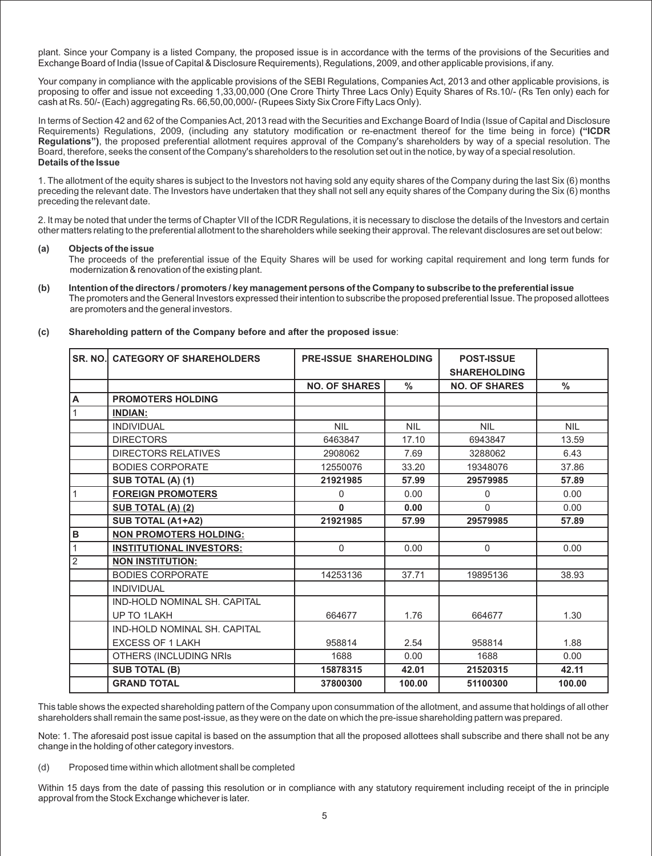plant. Since your Company is a listed Company, the proposed issue is in accordance with the terms of the provisions of the Securities and Exchange Board of India (Issue of Capital & Disclosure Requirements), Regulations, 2009, and other applicable provisions, if any.

Your company in compliance with the applicable provisions of the SEBI Regulations, Companies Act, 2013 and other applicable provisions, is proposing to offer and issue not exceeding 1,33,00,000 (One Crore Thirty Three Lacs Only) Equity Shares of Rs.10/- (Rs Ten only) each for cash at Rs. 50/- (Each) aggregating Rs. 66,50,00,000/- (Rupees Sixty Six Crore Fifty Lacs Only).

In terms of Section 42 and 62 of the Companies Act, 2013 read with the Securities and Exchange Board of India (Issue of Capital and Disclosure Requirements) Regulations, 2009, (including any statutory modification or re-enactment thereof for the time being in force) **("ICDR Regulations")**, the proposed preferential allotment requires approval of the Company's shareholders by way of a special resolution. The Board, therefore, seeks the consent of the Company's shareholders to the resolution set out in the notice, by way of a special resolution. **Details of the Issue**

1. The allotment of the equity shares is subject to the Investors not having sold any equity shares of the Company during the last Six (6) months preceding the relevant date. The Investors have undertaken that they shall not sell any equity shares of the Company during the Six (6) months preceding the relevant date.

2. It may be noted that under the terms of Chapter VII of the ICDR Regulations, it is necessary to disclose the details of the Investors and certain other matters relating to the preferential allotment to the shareholders while seeking their approval. The relevant disclosures are set out below:

#### **(a) Objects ofthe issue**

The proceeds of the preferential issue of the Equity Shares will be used for working capital requirement and long term funds for modernization & renovation of the existing plant.

The promoters and the General Investors expressed their intention to subscribe the proposed preferential Issue. The proposed allottees are promoters and the general investors. (b) Intention of the directors / promoters / key management persons of the Company to subscribe to the preferential issue

| SR. NO. | <b>CATEGORY OF SHAREHOLDERS</b>     | <b>PRE-ISSUE SHAREHOLDING</b> |            | <b>POST-ISSUE</b><br><b>SHAREHOLDING</b> |            |
|---------|-------------------------------------|-------------------------------|------------|------------------------------------------|------------|
|         |                                     | <b>NO. OF SHARES</b>          | $\%$       | <b>NO. OF SHARES</b>                     | $\%$       |
| A       | <b>PROMOTERS HOLDING</b>            |                               |            |                                          |            |
|         | <b>INDIAN:</b>                      |                               |            |                                          |            |
|         | <b>INDIVIDUAL</b>                   | <b>NIL</b>                    | <b>NIL</b> | <b>NIL</b>                               | <b>NIL</b> |
|         | <b>DIRECTORS</b>                    | 6463847                       | 17.10      | 6943847                                  | 13.59      |
|         | <b>DIRECTORS RELATIVES</b>          | 2908062                       | 7.69       | 3288062                                  | 6.43       |
|         | <b>BODIES CORPORATE</b>             | 12550076                      | 33.20      | 19348076                                 | 37.86      |
|         | SUB TOTAL (A) (1)                   | 21921985                      | 57.99      | 29579985                                 | 57.89      |
|         | <b>FOREIGN PROMOTERS</b>            | 0                             | 0.00       | $\Omega$                                 | 0.00       |
|         | SUB TOTAL (A) (2)                   | $\bf{0}$                      | 0.00       | $\Omega$                                 | 0.00       |
|         | SUB TOTAL (A1+A2)                   | 21921985                      | 57.99      | 29579985                                 | 57.89      |
| В       | <b>NON PROMOTERS HOLDING:</b>       |                               |            |                                          |            |
|         | <b>INSTITUTIONAL INVESTORS:</b>     | $\Omega$                      | 0.00       | $\Omega$                                 | 0.00       |
| 2       | <b>NON INSTITUTION:</b>             |                               |            |                                          |            |
|         | <b>BODIES CORPORATE</b>             | 14253136                      | 37.71      | 19895136                                 | 38.93      |
|         | <b>INDIVIDUAL</b>                   |                               |            |                                          |            |
|         | <b>IND-HOLD NOMINAL SH. CAPITAL</b> |                               |            |                                          |            |
|         | UP TO 1LAKH                         | 664677                        | 1.76       | 664677                                   | 1.30       |
|         | <b>IND-HOLD NOMINAL SH. CAPITAL</b> |                               |            |                                          |            |
|         | <b>EXCESS OF 1 LAKH</b>             | 958814                        | 2.54       | 958814                                   | 1.88       |
|         | OTHERS (INCLUDING NRIS              | 1688                          | 0.00       | 1688                                     | 0.00       |
|         | <b>SUB TOTAL (B)</b>                | 15878315                      | 42.01      | 21520315                                 | 42.11      |
|         | <b>GRAND TOTAL</b>                  | 37800300                      | 100.00     | 51100300                                 | 100.00     |

**(c) Shareholding pattern of the Company before and after the proposed issue**:

This table shows the expected shareholding pattern of the Company upon consummation of the allotment, and assume that holdings of all other shareholders shall remain the same post-issue, as they were on the date on which the pre-issue shareholding pattern was prepared.

Note: 1. The aforesaid post issue capital is based on the assumption that all the proposed allottees shall subscribe and there shall not be any change in the holding of other category investors.

(d) Proposed time within which allotment shall be completed

Within 15 days from the date of passing this resolution or in compliance with any statutory requirement including receipt of the in principle approval from the Stock Exchange whichever is later.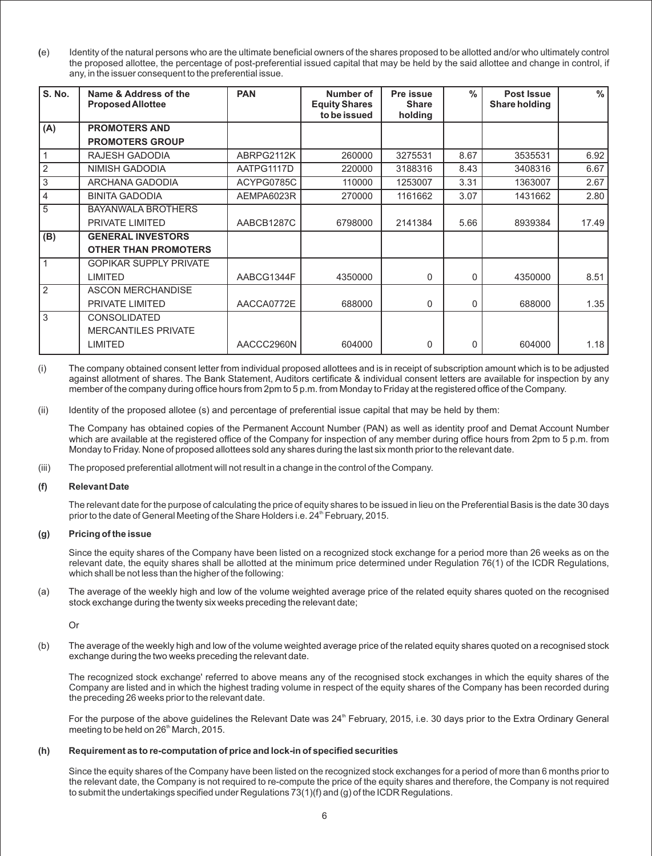**(**e) Identity of the natural persons who are the ultimate beneficial owners of the shares proposed to be allotted and/or who ultimately control the proposed allottee, the percentage of post-preferential issued capital that may be held by the said allottee and change in control, if any, in the issuer consequent to the preferential issue.

| <b>S. No.</b>  | Name & Address of the<br><b>Proposed Allottee</b> | <b>PAN</b> | Number of<br><b>Equity Shares</b><br>to be issued | Pre issue<br><b>Share</b><br>holding | $\frac{0}{n}$ | Post Issue<br><b>Share holding</b> | $\frac{0}{0}$ |
|----------------|---------------------------------------------------|------------|---------------------------------------------------|--------------------------------------|---------------|------------------------------------|---------------|
| (A)            | <b>PROMOTERS AND</b>                              |            |                                                   |                                      |               |                                    |               |
|                | <b>PROMOTERS GROUP</b>                            |            |                                                   |                                      |               |                                    |               |
|                | RAJESH GADODIA                                    | ABRPG2112K | 260000                                            | 3275531                              | 8.67          | 3535531                            | 6.92          |
| $\overline{2}$ | <b>NIMISH GADODIA</b>                             | AATPG1117D | 220000                                            | 3188316                              | 8.43          | 3408316                            | 6.67          |
| 3              | ARCHANA GADODIA                                   | ACYPG0785C | 110000                                            | 1253007                              | 3.31          | 1363007                            | 2.67          |
| 4              | <b>BINITA GADODIA</b>                             | AEMPA6023R | 270000                                            | 1161662                              | 3.07          | 1431662                            | 2.80          |
| 5              | <b>BAYANWALA BROTHERS</b>                         |            |                                                   |                                      |               |                                    |               |
|                | PRIVATE LIMITED                                   | AABCB1287C | 6798000                                           | 2141384                              | 5.66          | 8939384                            | 17.49         |
| (B)            | <b>GENERAL INVESTORS</b>                          |            |                                                   |                                      |               |                                    |               |
|                | <b>OTHER THAN PROMOTERS</b>                       |            |                                                   |                                      |               |                                    |               |
| $\mathbf 1$    | <b>GOPIKAR SUPPLY PRIVATE</b>                     |            |                                                   |                                      |               |                                    |               |
|                | <b>LIMITED</b>                                    | AABCG1344F | 4350000                                           | 0                                    | 0             | 4350000                            | 8.51          |
| 2              | <b>ASCON MERCHANDISE</b>                          |            |                                                   |                                      |               |                                    |               |
|                | PRIVATE LIMITED                                   | AACCA0772E | 688000                                            | $\mathbf{0}$                         | 0             | 688000                             | 1.35          |
| 3              | <b>CONSOLIDATED</b>                               |            |                                                   |                                      |               |                                    |               |
|                | <b>MERCANTILES PRIVATE</b>                        |            |                                                   |                                      |               |                                    |               |
|                | <b>LIMITED</b>                                    | AACCC2960N | 604000                                            | $\Omega$                             | 0             | 604000                             | 1.18          |

(i) The company obtained consent letter from individual proposed allottees and is in receipt of subscription amount which is to be adjusted against allotment of shares. The Bank Statement, Auditors certificate & individual consent letters are available for inspection by any member of the company during office hours from 2pm to 5 p.m. from Monday to Friday at the registered office of the Company.

(ii) Identity of the proposed allotee (s) and percentage of preferential issue capital that may be held by them:

The Company has obtained copies of the Permanent Account Number (PAN) as well as identity proof and Demat Account Number which are available at the registered office of the Company for inspection of any member during office hours from 2pm to 5 p.m. from Monday to Friday. None of proposed allottees sold any shares during the last six month prior to the relevant date.

(iii) The proposed preferential allotment will not result in a change in the control of the Company.

#### **(f) Relevant Date**

The relevant date for the purpose of calculating the price of equity shares to be issued in lieu on the Preferential Basis is the date 30 days prior to the date of General Meeting of the Share Holders i.e. 24<sup>th</sup> February, 2015.

#### **(g) Pricing ofthe issue**

Since the equity shares of the Company have been listed on a recognized stock exchange for a period more than 26 weeks as on the relevant date, the equity shares shall be allotted at the minimum price determined under Regulation 76(1) of the ICDR Regulations, which shall be not less than the higher of the following:

(a) The average of the weekly high and low of the volume weighted average price of the related equity shares quoted on the recognised stock exchange during the twenty six weeks preceding the relevant date;

Or

(b) The average of the weekly high and low of the volume weighted average price of the related equity shares quoted on a recognised stock exchange during the two weeks preceding the relevant date.

The recognized stock exchange' referred to above means any of the recognised stock exchanges in which the equity shares of the Company are listed and in which the highest trading volume in respect of the equity shares of the Company has been recorded during the preceding 26 weeks prior to the relevant date.

For the purpose of the above guidelines the Relevant Date was 24<sup>th</sup> February, 2015, i.e. 30 days prior to the Extra Ordinary General meeting to be held on 26<sup>th</sup> March, 2015.

#### **(h) Requirement as to re-computation of price and lock-in of specified securities**

Since the equity shares of the Company have been listed on the recognized stock exchanges for a period of more than 6 months prior to the relevant date, the Company is not required to re-compute the price of the equity shares and therefore, the Company is not required to submit the undertakings specified under Regulations 73(1)(f) and (g) of the ICDR Regulations.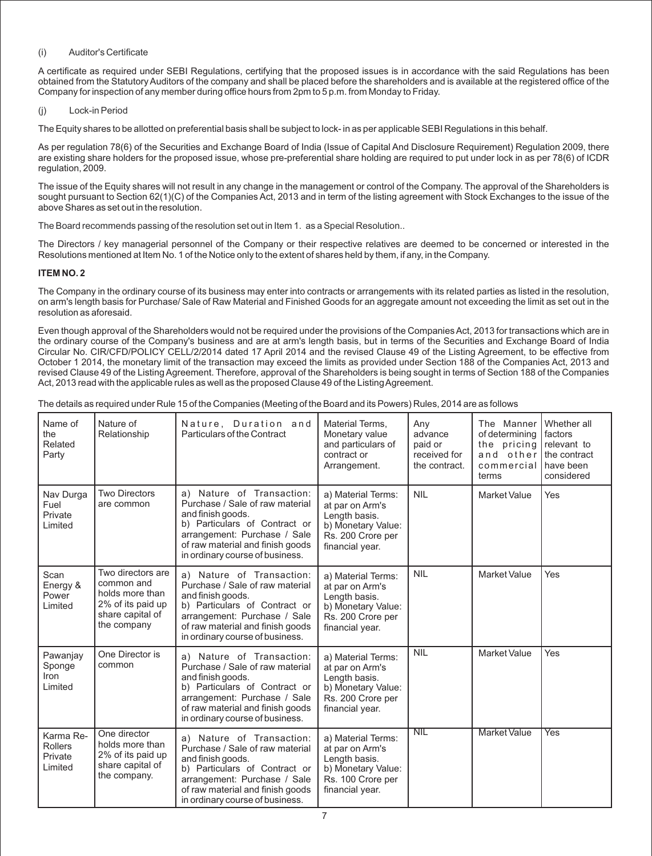#### (i) Auditor's Certificate

A certificate as required under SEBI Regulations, certifying that the proposed issues is in accordance with the said Regulations has been obtained from the Statutory Auditors of the company and shall be placed before the shareholders and is available at the registered office of the Company for inspection of any member during office hours from 2pm to 5 p.m. from Monday to Friday.

#### (j) Lock-in Period

The Equity shares to be allotted on preferential basis shall be subject to lock- in as per applicable SEBI Regulations in this behalf.

As per regulation 78(6) of the Securities and Exchange Board of India (Issue of Capital And Disclosure Requirement) Regulation 2009, there are existing share holders for the proposed issue, whose pre-preferential share holding are required to put under lock in as per 78(6) of ICDR regulation, 2009.

The issue of the Equity shares will not result in any change in the management or control of the Company. The approval of the Shareholders is sought pursuant to Section 62(1)(C) of the Companies Act, 2013 and in term of the listing agreement with Stock Exchanges to the issue of the above Shares as set out in the resolution.

The Board recommends passing of the resolution set out in Item 1. as a Special Resolution..

The Directors / key managerial personnel of the Company or their respective relatives are deemed to be concerned or interested in the Resolutions mentioned at Item No. 1 of the Notice only to the extent of shares held by them, if any, in the Company.

### **ITEM NO. 2**

The Company in the ordinary course of its business may enter into contracts or arrangements with its related parties as listed in the resolution, on arm's length basis for Purchase/ Sale of Raw Material and Finished Goods for an aggregate amount not exceeding the limit as set out in the resolution as aforesaid.

Even though approval of the Shareholders would not be required under the provisions of the Companies Act, 2013 for transactions which are in the ordinary course of the Company's business and are at arm's length basis, but in terms of the Securities and Exchange Board of India Circular No. CIR/CFD/POLICY CELL/2/2014 dated 17 April 2014 and the revised Clause 49 of the Listing Agreement, to be effective from October 1 2014, the monetary limit of the transaction may exceed the limits as provided under Section 188 of the Companies Act, 2013 and revised Clause 49 of the Listing Agreement. Therefore, approval of the Shareholders is being sought in terms of Section 188 of the Companies Act, 2013 read with the applicable rules as well as the proposed Clause 49 of the Listing Agreement.

The details as required under Rule 15 of the Companies (Meeting of the Board and its Powers) Rules, 2014 are as follows

| Name of<br>the<br>Related<br>Party                | Nature of<br>Relationship                                                                                  | Nature, Duration and<br>Particulars of the Contract                                                                                                                                                                       | Material Terms,<br>Monetary value<br>and particulars of<br>contract or<br>Arrangement.                               | Any<br>advance<br>paid or<br>received for<br>the contract. | The Manner<br>of determining<br>the pricing<br>and other<br>commercial<br>terms | Whether all<br>factors<br>relevant to<br>the contract<br>have been<br>considered |
|---------------------------------------------------|------------------------------------------------------------------------------------------------------------|---------------------------------------------------------------------------------------------------------------------------------------------------------------------------------------------------------------------------|----------------------------------------------------------------------------------------------------------------------|------------------------------------------------------------|---------------------------------------------------------------------------------|----------------------------------------------------------------------------------|
| Nav Durga<br>Fuel<br>Private<br>Limited           | <b>Two Directors</b><br>are common                                                                         | a) Nature of Transaction:<br>Purchase / Sale of raw material<br>and finish goods.<br>b) Particulars of Contract or<br>arrangement: Purchase / Sale<br>of raw material and finish goods<br>in ordinary course of business. | a) Material Terms:<br>at par on Arm's<br>Length basis.<br>b) Monetary Value:<br>Rs. 200 Crore per<br>financial year. | <b>NIL</b>                                                 | Market Value                                                                    | Yes                                                                              |
| Scan<br>Energy &<br>Power<br>Limited              | Two directors are<br>common and<br>holds more than<br>2% of its paid up<br>share capital of<br>the company | a) Nature of Transaction:<br>Purchase / Sale of raw material<br>and finish goods.<br>b) Particulars of Contract or<br>arrangement: Purchase / Sale<br>of raw material and finish goods<br>in ordinary course of business. | a) Material Terms:<br>at par on Arm's<br>Length basis.<br>b) Monetary Value:<br>Rs. 200 Crore per<br>financial year. | <b>NIL</b>                                                 | <b>Market Value</b>                                                             | Yes                                                                              |
| Pawanjay<br>Sponge<br>Iron<br>Limited             | One Director is<br>common                                                                                  | a) Nature of Transaction:<br>Purchase / Sale of raw material<br>and finish goods.<br>b) Particulars of Contract or<br>arrangement: Purchase / Sale<br>of raw material and finish goods<br>in ordinary course of business. | a) Material Terms:<br>at par on Arm's<br>Length basis.<br>b) Monetary Value:<br>Rs. 200 Crore per<br>financial year. | <b>NIL</b>                                                 | <b>Market Value</b>                                                             | Yes                                                                              |
| Karma Re-<br><b>Rollers</b><br>Private<br>Limited | One director<br>holds more than<br>2% of its paid up<br>share capital of<br>the company.                   | a) Nature of Transaction:<br>Purchase / Sale of raw material<br>and finish goods.<br>b) Particulars of Contract or<br>arrangement: Purchase / Sale<br>of raw material and finish goods<br>in ordinary course of business. | a) Material Terms:<br>at par on Arm's<br>Length basis.<br>b) Monetary Value:<br>Rs. 100 Crore per<br>financial year. | NIL                                                        | <b>Market Value</b>                                                             | Yes                                                                              |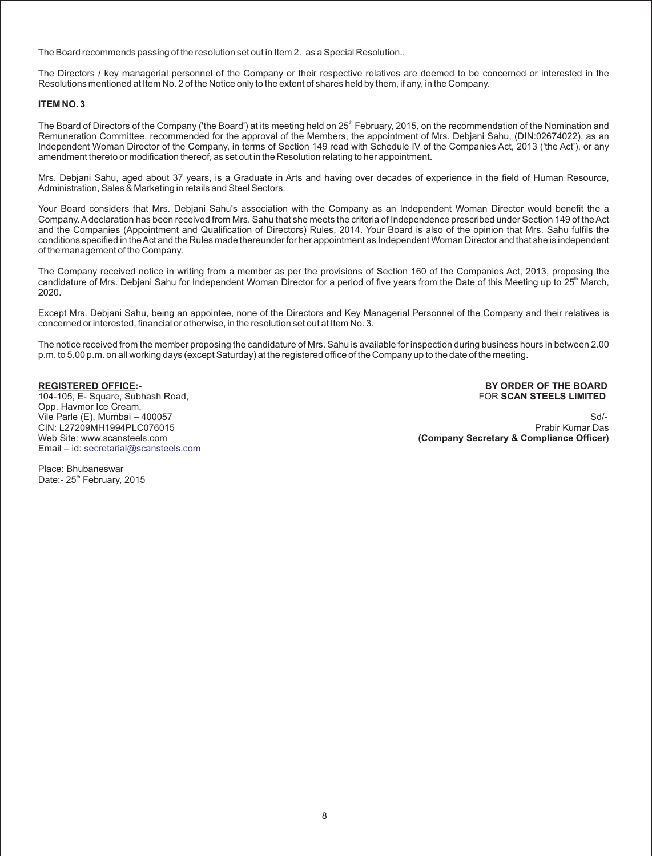The Board recommends passing of the resolution set out in Item 2. as a Special Resolution..

The Directors / key managerial personnel of the Company or their respective relatives are deemed to be concerned or interested in the Resolutions mentioned at Item No. 2 of the Notice only to the extent of shares held by them, if any, in the Company.

#### **ITEM NO. 3**

The Board of Directors of the Company ('the Board') at its meeting held on 25<sup>th</sup> February, 2015, on the recommendation of the Nomination and Remuneration Committee, recommended for the approval of the Members, the appointment of Mrs. Debjani Sahu, (DIN:02674022), as an Independent Woman Director of the Company, in terms of Section 149 read with Schedule IV of the Companies Act, 2013 ('the Act'), or any amendment thereto or modification thereof, as set out in the Resolution relating to her appointment.

Mrs. Debjani Sahu, aged about 37 years, is a Graduate in Arts and having over decades of experience in the field of Human Resource, Administration, Sales & Marketing in retails and Steel Sectors.

Your Board considers that Mrs. Debjani Sahu's association with the Company as an Independent Woman Director would benefit the a Company. Adeclaration has been received from Mrs. Sahu that she meets the criteria of Independence prescribed under Section 149 of the Act and the Companies (Appointment and Qualification of Directors) Rules, 2014. Your Board is also of the opinion that Mrs. Sahu fulfils the conditions specified in the Act and the Rules made thereunder for her appointment as Independent Woman Director and that she is independent of the management of the Company.

The Company received notice in writing from a member as per the provisions of Section 160 of the Companies Act, 2013, proposing the candidature of Mrs. Debjani Sahu for Independent Woman Director for a period of five years from the Date of this Meeting up to 25<sup>th</sup> March, 2020.

Except Mrs. Debjani Sahu, being an appointee, none of the Directors and Key Managerial Personnel of the Company and their relatives is concerned or interested, financial or otherwise, in the resolution set out at Item No. 3.

The notice received from the member proposing the candidature of Mrs. Sahu is available for inspection during business hours in between 2.00 p.m. to 5.00 p.m. on all working days (except Saturday) at the registered office of the Company up to the date of the meeting.

104-105, E- Square, Subhash Road, FOR **SCAN STEELS LIMITED** Opp. Havmor Ice Cream, CIN: L27209MH1994PLC076015<br>Web Site: www.scansteels.com Email – id: [secretarial@scansteels.com](mailto:secretarial@scansteels.com)

**REGISTERED OFFICE:- BY ORDER OF THE BOARD**

Vile Parle (E), Mumbai – 400057 Sd/- **(Company Secretary & Compliance Officer)** 

Place: Bhubaneswar Date:- 25<sup>th</sup> February, 2015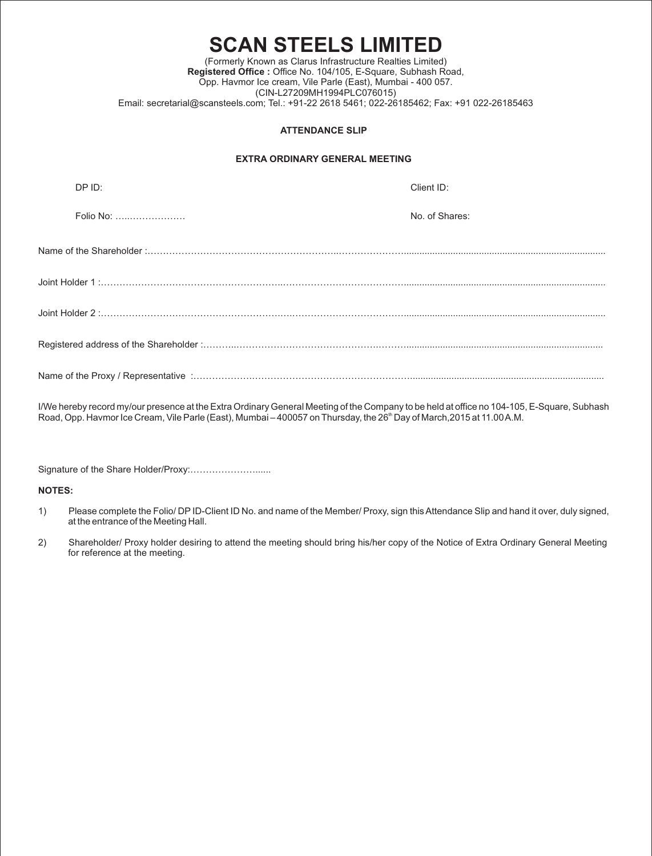### **SCAN STEELS LIMITED** (Formerly Known as Clarus Infrastructure Realties Limited) **Registered Office :** Office No. 104/105, E-Square, Subhash Road, Opp. Havmor Ice cream, Vile Parle (East), Mumbai - 400 057. (CIN-L27209MH1994PLC076015) Email: secretarial@scansteels.com; Tel.: +91-22 2618 5461; 022-26185462; Fax: +91 022-26185463

#### **ATTENDANCE SLIP**

#### **EXTRA ORDINARY GENERAL MEETING**

| DP ID:    | Client ID:     |
|-----------|----------------|
| Folio No: | No. of Shares: |
|           |                |
|           |                |
|           |                |
|           |                |
|           |                |

I/We hereby record my/our presence at the Extra Ordinary General Meeting of the Company to be held at office no 104-105, E-Square, Subhash Road, Opp. Havmor Ice Cream, Vile Parle (East), Mumbai – 400057 on Thursday, the 26<sup>th</sup> Day of March,2015 at 11.00 A.M.

Signature of the Share Holder/Proxy:…………………......

**NOTES:** 

- 1) Please complete the Folio/ DP ID-Client ID No. and name of the Member/ Proxy, sign this Attendance Slip and hand it over, duly signed, at the entrance of the Meeting Hall.
- 2) Shareholder/ Proxy holder desiring to attend the meeting should bring his/her copy of the Notice of Extra Ordinary General Meeting for reference at the meeting.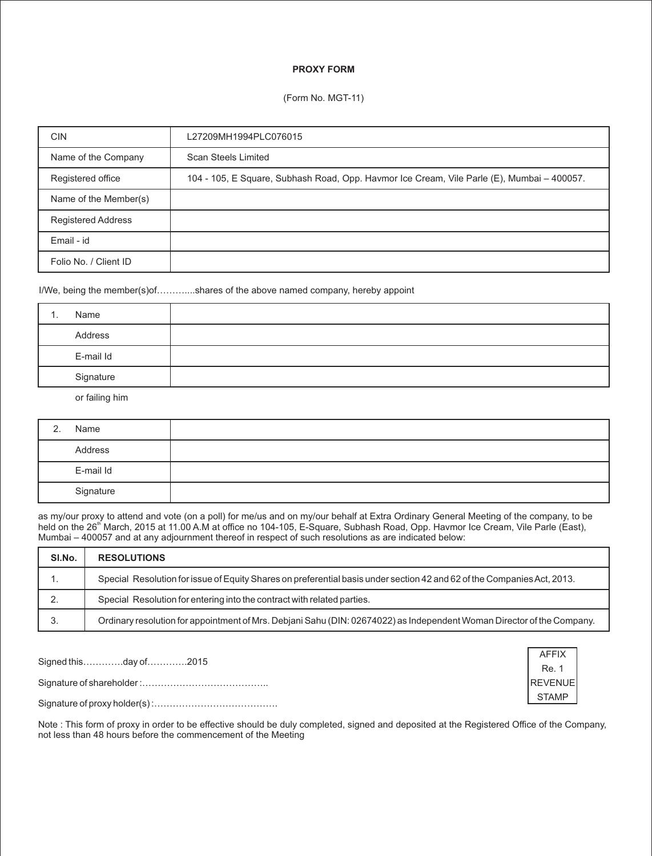### **PROXY FORM**

#### (Form No. MGT-11)

| <b>CIN</b>                | L27209MH1994PLC076015                                                                      |
|---------------------------|--------------------------------------------------------------------------------------------|
| Name of the Company       | Scan Steels Limited                                                                        |
| Registered office         | 104 - 105, E Square, Subhash Road, Opp. Havmor Ice Cream, Vile Parle (E), Mumbai – 400057. |
| Name of the Member(s)     |                                                                                            |
| <b>Registered Address</b> |                                                                                            |
| Email - id                |                                                                                            |
| Folio No. / Client ID     |                                                                                            |

I/We, being the member(s)of………....shares of the above named company, hereby appoint

| Name      |  |
|-----------|--|
| Address   |  |
| E-mail Id |  |
| Signature |  |

or failing him

| 2. | Name      |  |
|----|-----------|--|
|    | Address   |  |
|    | E-mail Id |  |
|    | Signature |  |

as my/our proxy to attend and vote (on a poll) for me/us and on my/our behalf at Extra Ordinary General Meeting of the company, to be held on the 26<sup>th</sup> March, 2015 at 11.00 A.M at office no 104-105, E-Square, Subhash Road, Opp. Havmor Ice Cream, Vile Parle (East), Mumbai – 400057 and at any adjournment thereof in respect of such resolutions as are indicated below:

| SI.No. | <b>RESOLUTIONS</b>                                                                                                      |
|--------|-------------------------------------------------------------------------------------------------------------------------|
| . .    | Special Resolution for issue of Equity Shares on preferential basis under section 42 and 62 of the Companies Act, 2013. |
| ۷.     | Special Resolution for entering into the contract with related parties.                                                 |
| 3.     | Ordinary resolution for appointment of Mrs. Debjani Sahu (DIN: 02674022) as Independent Woman Director of the Company.  |

Signed this………….day of………….2015

Signature of shareholder :…………………………………..

Signature of proxy holder(s) :………………………………….



Note : This form of proxy in order to be effective should be duly completed, signed and deposited at the Registered Office of the Company, not less than 48 hours before the commencement of the Meeting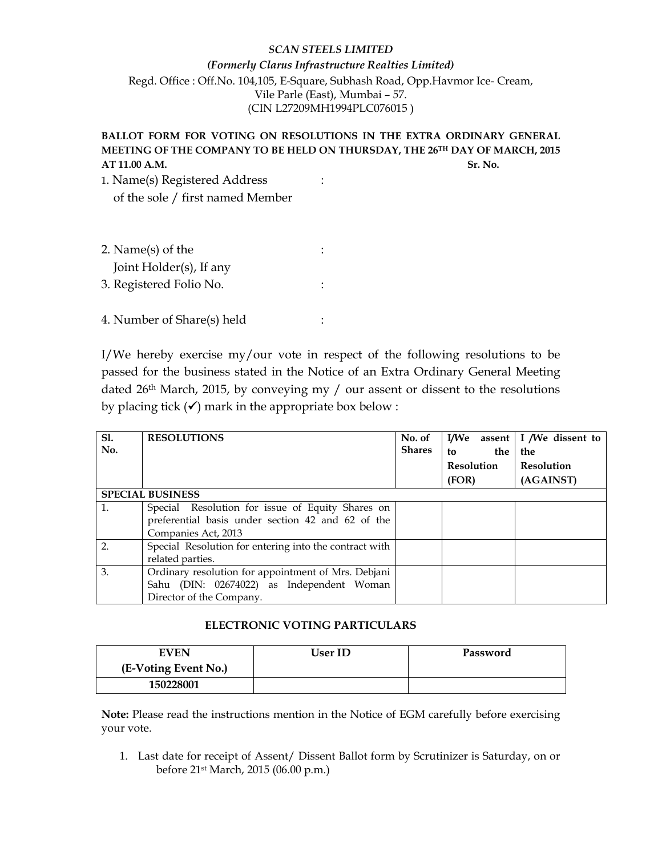## *SCAN STEELS LIMITED*

# *(Formerly Clarus Infrastructure Realties Limited)* Regd. Office : Off.No. 104,105, E-Square, Subhash Road, Opp.Havmor Ice- Cream, Vile Parle (East), Mumbai – 57. (CIN L27209MH1994PLC076015 )

# **BALLOT FORM FOR VOTING ON RESOLUTIONS IN THE EXTRA ORDINARY GENERAL MEETING OF THE COMPANY TO BE HELD ON THURSDAY, THE 26TH DAY OF MARCH, 2015 AT 11.00 A.M.** Sr. No. **Sr. No. 3. Sr. No. 3. Sr. No. 3. Sr. No. 3. Sr. No. 3. Sr. No. 3. Sr. No. 3. Sr. No. 3. Sr. No. 3. Sr. No. 3. Sr. No. 3. Sr. No. 3. Sr. No. 3. Sr. No. 3. Sr. No. 3. Sr. No. 3. Sr. No. 3. Sr. No. 3.**

1. Name(s) Registered Address : of the sole / first named Member

| 2. Name $(s)$ of the       |  |
|----------------------------|--|
| Joint Holder(s), If any    |  |
| 3. Registered Folio No.    |  |
|                            |  |
| 4. Number of Share(s) held |  |

I/We hereby exercise my/our vote in respect of the following resolutions to be passed for the business stated in the Notice of an Extra Ordinary General Meeting dated 26th March, 2015, by conveying my / our assent or dissent to the resolutions by placing tick  $(\checkmark)$  mark in the appropriate box below :

| <b>S1.</b><br>No. | <b>RESOLUTIONS</b>                                                                                                           | No. of<br><b>Shares</b> | the<br>to<br><b>Resolution</b><br>(FOR) | I/We assent   I /We dissent to<br>the<br><b>Resolution</b><br>(AGAINST) |
|-------------------|------------------------------------------------------------------------------------------------------------------------------|-------------------------|-----------------------------------------|-------------------------------------------------------------------------|
|                   | <b>SPECIAL BUSINESS</b>                                                                                                      |                         |                                         |                                                                         |
| 1.                | Special Resolution for issue of Equity Shares on<br>preferential basis under section 42 and 62 of the                        |                         |                                         |                                                                         |
|                   | Companies Act, 2013                                                                                                          |                         |                                         |                                                                         |
| 2.                | Special Resolution for entering into the contract with<br>related parties.                                                   |                         |                                         |                                                                         |
| 3.                | Ordinary resolution for appointment of Mrs. Debjani<br>Sahu (DIN: 02674022) as Independent Woman<br>Director of the Company. |                         |                                         |                                                                         |

## **ELECTRONIC VOTING PARTICULARS**

| <b>EVEN</b>          | User ID | Password |
|----------------------|---------|----------|
| (E-Voting Event No.) |         |          |
| 150228001            |         |          |

**Note:** Please read the instructions mention in the Notice of EGM carefully before exercising your vote.

1. Last date for receipt of Assent/ Dissent Ballot form by Scrutinizer is Saturday, on or before 21st March, 2015 (06.00 p.m.)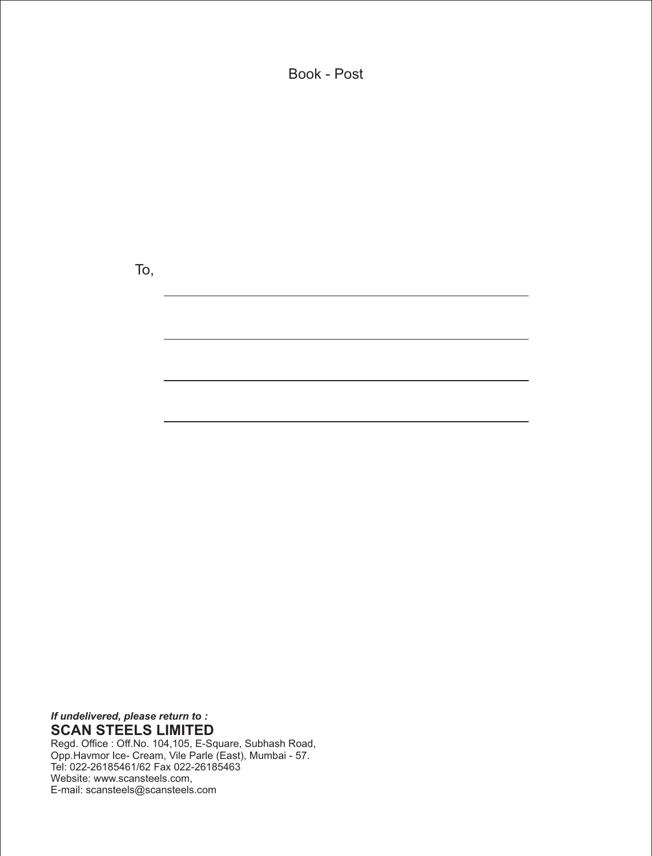Book - Post

To,

*If undelivered, please return to :* **SCAN STEELS LIMITED**

Regd. Office : Off.No. 104,105, E-Square, Subhash Road, Opp.Havmor Ice- Cream, Vile Parle (East), Mumbai - 57. Tel: 022-26185461/62 Fax 022-26185463 Website: www.scansteels.com, E-mail: scansteels@scansteels.com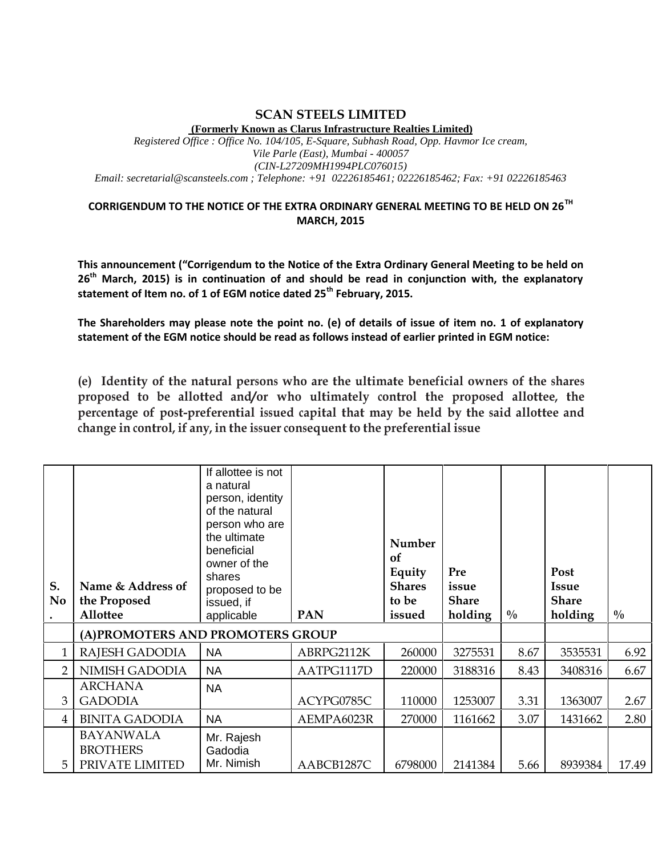### **SCAN STEELS LIMITED (Formerly Known as Clarus Infrastructure Realties Limited)**

*Registered Office : Office No. 104/105, E-Square, Subhash Road, Opp. Havmor Ice cream, Vile Parle (East), Mumbai - 400057 (CIN-L27209MH1994PLC076015) Email: secretarial@scansteels.com ; Telephone: +91 02226185461; 02226185462; Fax: +91 02226185463*

## **CORRIGENDUM TO THE NOTICE OF THE EXTRA ORDINARY GENERAL MEETING TO BE HELD ON 26TH MARCH, 2015**

**This announcement ("Corrigendum to the Notice of the Extra Ordinary General Meeting to be held on 26th March, 2015) is in continuation of and should be read in conjunction with, the explanatory statement of Item no. of 1 of EGM notice dated 25th February, 2015.**

**The Shareholders may please note the point no. (e) of details of issue of item no. 1 of explanatory statement of the EGM notice should be read as follows instead of earlier printed in EGM notice:**

**(e) Identity ofthe natural persons who are the ultimate beneficial owners of the shares proposed to be allotted and/or who ultimately control the proposed allottee, the percentage of post-preferential issued capital that may be held by the said allottee and change in control, if any, in the issuer consequent to the preferential issue**

| S.<br>N <sub>0</sub><br>$\bullet$ | Name & Address of<br>the Proposed<br>Allottee          | If allottee is not<br>a natural<br>person, identity<br>of the natural<br>person who are<br>the ultimate<br>beneficial<br>owner of the<br>shares<br>proposed to be<br>issued, if<br>applicable | <b>PAN</b> | Number<br>of<br>Equity<br><b>Shares</b><br>to be<br>issued | Pre<br>issue<br><b>Share</b><br>holding | $\frac{0}{0}$ | Post<br><b>Issue</b><br><b>Share</b><br>holding | $\frac{0}{0}$ |
|-----------------------------------|--------------------------------------------------------|-----------------------------------------------------------------------------------------------------------------------------------------------------------------------------------------------|------------|------------------------------------------------------------|-----------------------------------------|---------------|-------------------------------------------------|---------------|
|                                   | (A) PROMOTERS AND PROMOTERS GROUP                      |                                                                                                                                                                                               |            |                                                            |                                         |               |                                                 |               |
| 1                                 | RAJESH GADODIA                                         | <b>NA</b>                                                                                                                                                                                     | ABRPG2112K | 260000                                                     | 3275531                                 | 8.67          | 3535531                                         | 6.92          |
| $\overline{2}$                    | NIMISH GADODIA                                         | <b>NA</b>                                                                                                                                                                                     | AATPG1117D | 220000                                                     | 3188316                                 | 8.43          | 3408316                                         | 6.67          |
| 3                                 | <b>ARCHANA</b><br><b>GADODIA</b>                       | <b>NA</b>                                                                                                                                                                                     | ACYPG0785C | 110000                                                     | 1253007                                 | 3.31          | 1363007                                         | 2.67          |
| $\overline{4}$                    | <b>BINITA GADODIA</b>                                  | <b>NA</b>                                                                                                                                                                                     | AEMPA6023R | 270000                                                     | 1161662                                 | 3.07          | 1431662                                         | 2.80          |
| 5                                 | <b>BAYANWALA</b><br><b>BROTHERS</b><br>PRIVATE LIMITED | Mr. Rajesh<br>Gadodia<br>Mr. Nimish                                                                                                                                                           | AABCB1287C | 6798000                                                    | 2141384                                 | 5.66          | 8939384                                         | 17.49         |